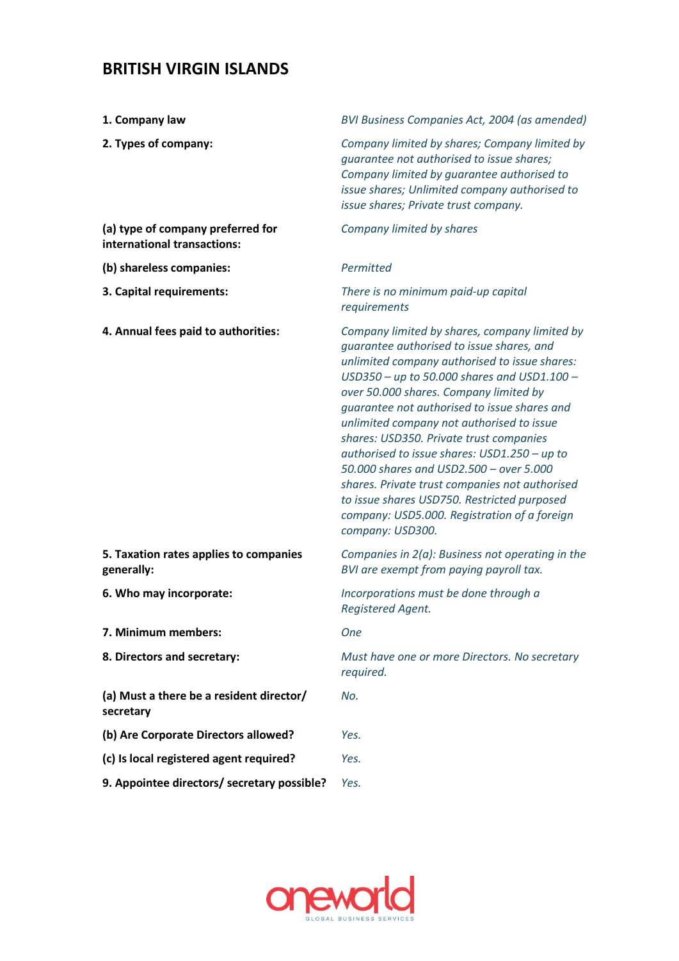## **BRITISH VIRGIN ISLANDS**

| 1. Company law                                                   | BVI Business Companies Act, 2004 (as amended)                                                                                                                                                                                                                                                                                                                                                                                                                                                                                                                                                                                                  |
|------------------------------------------------------------------|------------------------------------------------------------------------------------------------------------------------------------------------------------------------------------------------------------------------------------------------------------------------------------------------------------------------------------------------------------------------------------------------------------------------------------------------------------------------------------------------------------------------------------------------------------------------------------------------------------------------------------------------|
| 2. Types of company:                                             | Company limited by shares; Company limited by<br>guarantee not authorised to issue shares;<br>Company limited by guarantee authorised to<br>issue shares; Unlimited company authorised to<br>issue shares; Private trust company.                                                                                                                                                                                                                                                                                                                                                                                                              |
| (a) type of company preferred for<br>international transactions: | Company limited by shares                                                                                                                                                                                                                                                                                                                                                                                                                                                                                                                                                                                                                      |
| (b) shareless companies:                                         | Permitted                                                                                                                                                                                                                                                                                                                                                                                                                                                                                                                                                                                                                                      |
| 3. Capital requirements:                                         | There is no minimum paid-up capital<br>requirements                                                                                                                                                                                                                                                                                                                                                                                                                                                                                                                                                                                            |
| 4. Annual fees paid to authorities:                              | Company limited by shares, company limited by<br>guarantee authorised to issue shares, and<br>unlimited company authorised to issue shares:<br>$USD350 - up$ to 50.000 shares and USD1.100 -<br>over 50.000 shares. Company limited by<br>guarantee not authorised to issue shares and<br>unlimited company not authorised to issue<br>shares: USD350. Private trust companies<br>authorised to issue shares: USD1.250 - up to<br>50.000 shares and USD2.500 - over 5.000<br>shares. Private trust companies not authorised<br>to issue shares USD750. Restricted purposed<br>company: USD5.000. Registration of a foreign<br>company: USD300. |
| 5. Taxation rates applies to companies<br>generally:             | Companies in $2(a)$ : Business not operating in the<br>BVI are exempt from paying payroll tax.                                                                                                                                                                                                                                                                                                                                                                                                                                                                                                                                                 |
| 6. Who may incorporate:                                          | Incorporations must be done through a<br>Registered Agent.                                                                                                                                                                                                                                                                                                                                                                                                                                                                                                                                                                                     |
| 7. Minimum members:                                              | <b>One</b>                                                                                                                                                                                                                                                                                                                                                                                                                                                                                                                                                                                                                                     |
| 8. Directors and secretary:                                      | Must have one or more Directors. No secretary<br>required.                                                                                                                                                                                                                                                                                                                                                                                                                                                                                                                                                                                     |
| (a) Must a there be a resident director/<br>secretary            | No.                                                                                                                                                                                                                                                                                                                                                                                                                                                                                                                                                                                                                                            |
| (b) Are Corporate Directors allowed?                             | Yes.                                                                                                                                                                                                                                                                                                                                                                                                                                                                                                                                                                                                                                           |
| (c) Is local registered agent required?                          | Yes.                                                                                                                                                                                                                                                                                                                                                                                                                                                                                                                                                                                                                                           |
| 9. Appointee directors/ secretary possible?                      | Yes.                                                                                                                                                                                                                                                                                                                                                                                                                                                                                                                                                                                                                                           |